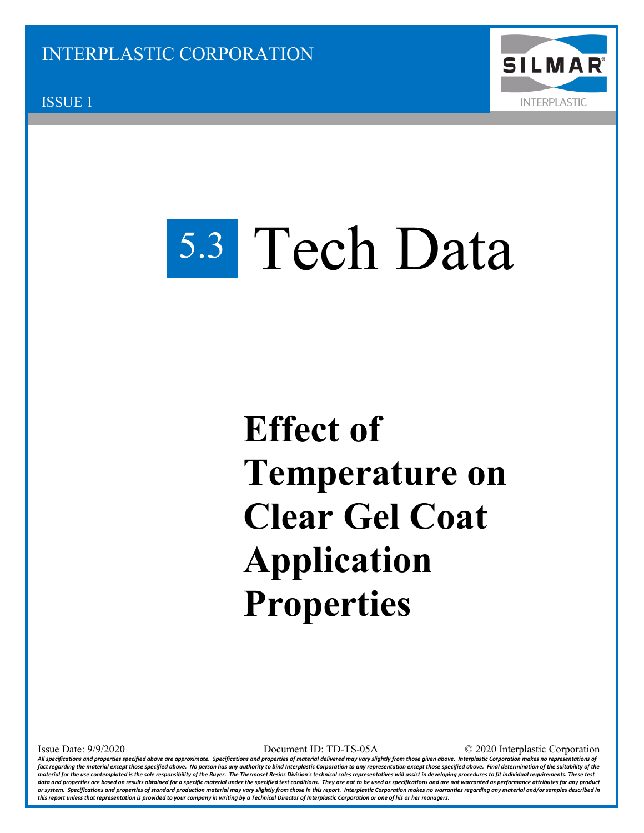

ISSUE 1

## 5.3 Tech Data

## **Effect of Temperature on Clear Gel Coat Application Properties**

Issue Date: 9/9/2020 Document ID: TD-TS-05A © 2020 Interplastic Corporation

*All specifications and properties specified above are approximate. Specifications and properties of material delivered may vary slightly from those given above. Interplastic Corporation makes no representations of*  fact regarding the material except those specified above. No person has any authority to bind Interplastic Corporation to any representation except those specified above. Final determination of the suitability of the material for the use contemplated is the sole responsibility of the Buyer. The Thermoset Resins Division's technical sales representatives will assist in developing procedures to fit individual requirements. These test *data and properties are based on results obtained for a specific material under the specified test conditions. They are not to be used as specifications and are not warranted as performance attributes for any product or system. Specifications and properties of standard production material may vary slightly from those in this report. Interplastic Corporation makes no warranties regarding any material and/or samples described in this report unless that representation is provided to your company in writing by a Technical Director of Interplastic Corporation or one of his or her managers.*